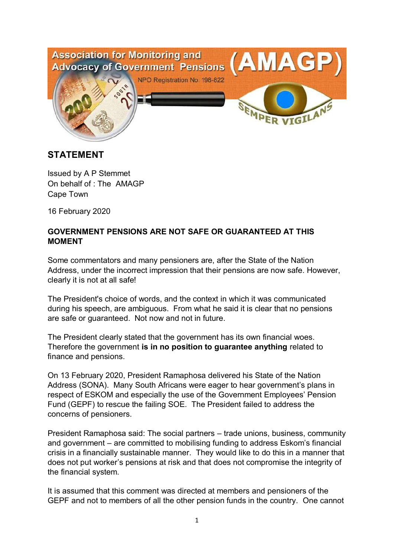

## **STATEMENT**

Issued by A P Stemmet On behalf of : The AMAGP Cape Town

16 February 2020

## **GOVERNMENT PENSIONS ARE NOT SAFE OR GUARANTEED AT THIS MOMENT**

Some commentators and many pensioners are, after the State of the Nation Address, under the incorrect impression that their pensions are now safe. However, clearly it is not at all safe!

The President's choice of words, and the context in which it was communicated during his speech, are ambiguous. From what he said it is clear that no pensions are safe or guaranteed. Not now and not in future.

The President clearly stated that the government has its own financial woes. Therefore the government **is in no position to guarantee anything** related to finance and pensions.

On 13 February 2020, President Ramaphosa delivered his State of the Nation Address (SONA). Many South Africans were eager to hear government's plans in respect of ESKOM and especially the use of the Government Employees' Pension Fund (GEPF) to rescue the failing SOE. The President failed to address the concerns of pensioners.

President Ramaphosa said: The social partners – trade unions, business, community and government – are committed to mobilising funding to address Eskom's financial crisis in a financially sustainable manner. They would like to do this in a manner that does not put worker's pensions at risk and that does not compromise the integrity of the financial system.

It is assumed that this comment was directed at members and pensioners of the GEPF and not to members of all the other pension funds in the country. One cannot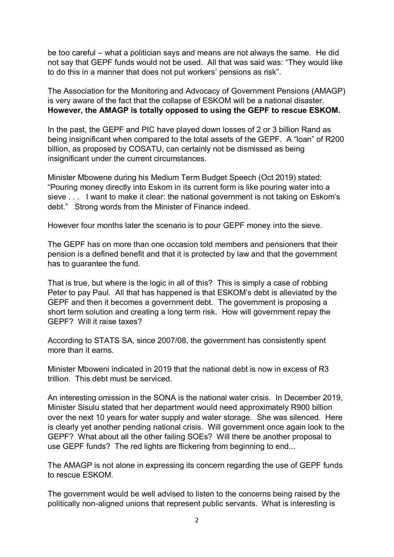be too careful – what a politician says and means are not always the same. He did not say that GEPF funds would not be used. All that was said was: "They would like to do this in a manner that does not put workers' pensions as risk".

The Association for the Monitoring and Advocacy of Government Pensions (AMAGP) is very aware of the fact that the collapse of ESKOM will be a national disaster. **However, the AMAGP is totally opposed to using the GEPF to rescue ESKOM.**

In the past, the GEPF and PIC have played down losses of 2 or 3 billion Rand as being insignificant when compared to the total assets of the GEPF. A "loan" of R200 billion, as proposed by COSATU, can certainly not be dismissed as being insignificant under the current circumstances.

Minister Mbowene during his Medium Term Budget Speech (Oct 2019) stated: "Pouring money directly into Eskom in its current form is like pouring water into a sieve . . . I want to make it clear: the national government is not taking on Eskom's debt." Strong words from the Minister of Finance indeed.

However four months later the scenario is to pour GEPF money into the sieve.

The GEPF has on more than one occasion told members and pensioners that their pension is a defined benefit and that it is protected by law and that the government has to guarantee the fund.

That is true, but where is the logic in all of this? This is simply a case of robbing Peter to pay Paul. All that has happened is that ESKOM's debt is alleviated by the GEPF and then it becomes a government debt. The government is proposing a short term solution and creating a long term risk. How will government repay the GEPF? Will it raise taxes?

According to STATS SA, since 2007/08, the government has consistently spent more than it earns.

Minister Mboweni indicated in 2019 that the national debt is now in excess of R3 trillion. This debt must be serviced.

An interesting omission in the SONA is the national water crisis. In December 2019, Minister Sisulu stated that her department would need approximately R900 billion over the next 10 years for water supply and water storage. She was silenced. Here is clearly yet another pending national crisis. Will government once again look to the GEPF? What about all the other failing SOEs? Will there be another proposal to use GEPF funds? The red lights are flickering from beginning to end...

The AMAGP is not alone in expressing its concern regarding the use of GEPF funds to rescue ESKOM.

The government would be well advised to listen to the concerns being raised by the politically non-aligned unions that represent public servants. What is interesting is